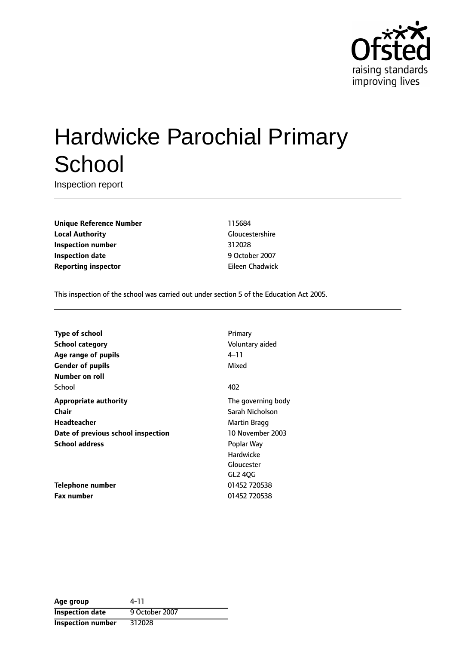

# Hardwicke Parochial Primary **School**

Inspection report

**Unique Reference Number** 115684 **Local Authority** Gloucestershire **Inspection number** 312028 **Inspection date** 9 October 2007 **Reporting inspector Eileen Chadwick** 

This inspection of the school was carried out under section 5 of the Education Act 2005.

| Type of school                     | Primary                 |
|------------------------------------|-------------------------|
| <b>School category</b>             | Voluntary aided         |
| Age range of pupils                | 4–11                    |
| <b>Gender of pupils</b>            | Mixed                   |
| Number on roll                     |                         |
| School                             | 402                     |
| <b>Appropriate authority</b>       | The governing body      |
| Chair                              | Sarah Nicholson         |
| Headteacher                        | Martin Bragg            |
| Date of previous school inspection | <b>10 November 2003</b> |
| <b>School address</b>              | Poplar Way              |
|                                    | Hardwicke               |
|                                    | Gloucester              |
|                                    | GL2 40G                 |
| Telephone number                   | 01452 720538            |
| <b>Fax number</b>                  | 01452 720538            |

| Age group              | 4-11           |
|------------------------|----------------|
| <b>Inspection date</b> | 9 October 2007 |
| Inspection number      | 312028         |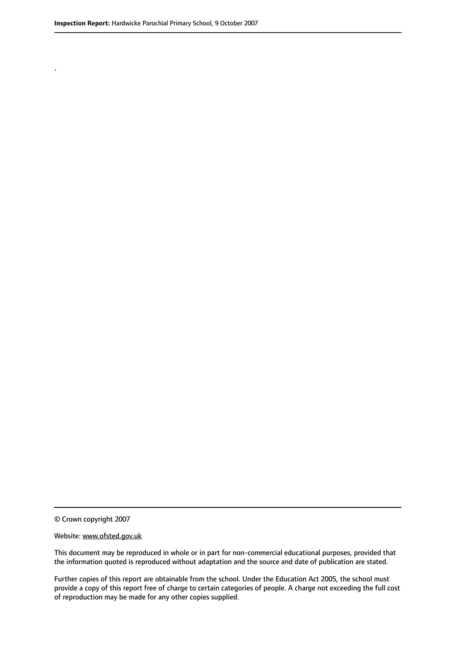.

© Crown copyright 2007

#### Website: www.ofsted.gov.uk

This document may be reproduced in whole or in part for non-commercial educational purposes, provided that the information quoted is reproduced without adaptation and the source and date of publication are stated.

Further copies of this report are obtainable from the school. Under the Education Act 2005, the school must provide a copy of this report free of charge to certain categories of people. A charge not exceeding the full cost of reproduction may be made for any other copies supplied.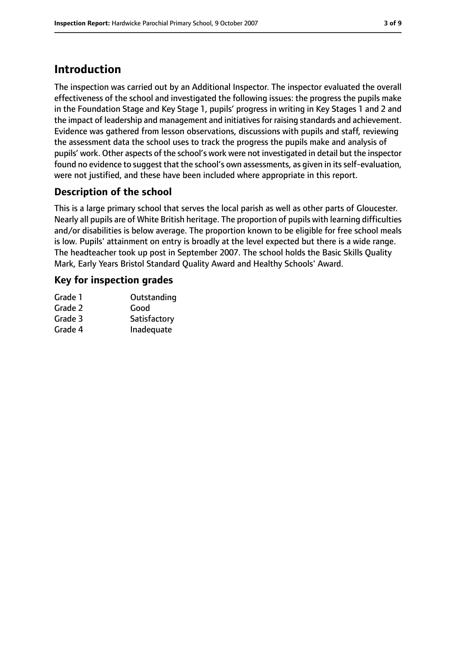# **Introduction**

The inspection was carried out by an Additional Inspector. The inspector evaluated the overall effectiveness of the school and investigated the following issues: the progress the pupils make in the Foundation Stage and Key Stage 1, pupils' progress in writing in Key Stages 1 and 2 and the impact of leadership and management and initiatives for raising standards and achievement. Evidence was gathered from lesson observations, discussions with pupils and staff, reviewing the assessment data the school uses to track the progress the pupils make and analysis of pupils' work. Other aspects of the school's work were not investigated in detail but the inspector found no evidence to suggest that the school's own assessments, as given in its self-evaluation, were not justified, and these have been included where appropriate in this report.

### **Description of the school**

This is a large primary school that serves the local parish as well as other parts of Gloucester. Nearly all pupils are of White British heritage. The proportion of pupils with learning difficulties and/or disabilities is below average. The proportion known to be eligible for free school meals is low. Pupils' attainment on entry is broadly at the level expected but there is a wide range. The headteacher took up post in September 2007. The school holds the Basic Skills Quality Mark, Early Years Bristol Standard Quality Award and Healthy Schools' Award.

### **Key for inspection grades**

| Outstanding  |
|--------------|
| Good         |
| Satisfactory |
| Inadequate   |
|              |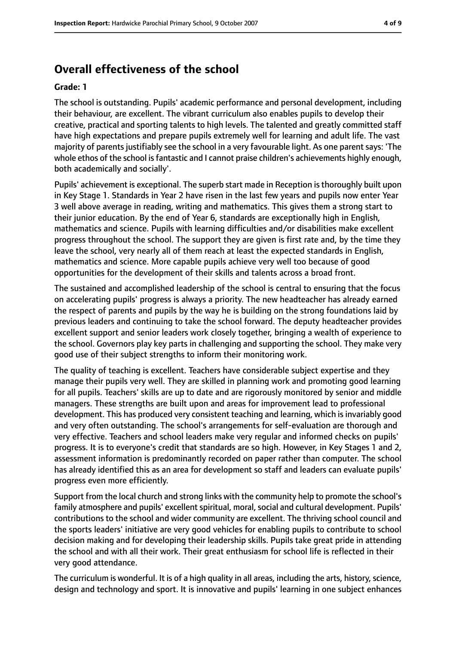### **Overall effectiveness of the school**

#### **Grade: 1**

The school is outstanding. Pupils' academic performance and personal development, including their behaviour, are excellent. The vibrant curriculum also enables pupils to develop their creative, practical and sporting talents to high levels. The talented and greatly committed staff have high expectations and prepare pupils extremely well for learning and adult life. The vast majority of parents justifiably see the school in a very favourable light. As one parent says: 'The whole ethos of the school is fantastic and I cannot praise children's achievements highly enough, both academically and socially'.

Pupils' achievement is exceptional. The superb start made in Reception isthoroughly built upon in Key Stage 1. Standards in Year 2 have risen in the last few years and pupils now enter Year 3 well above average in reading, writing and mathematics. This gives them a strong start to their junior education. By the end of Year 6, standards are exceptionally high in English, mathematics and science. Pupils with learning difficulties and/or disabilities make excellent progress throughout the school. The support they are given is first rate and, by the time they leave the school, very nearly all of them reach at least the expected standards in English, mathematics and science. More capable pupils achieve very well too because of good opportunities for the development of their skills and talents across a broad front.

The sustained and accomplished leadership of the school is central to ensuring that the focus on accelerating pupils' progress is always a priority. The new headteacher has already earned the respect of parents and pupils by the way he is building on the strong foundations laid by previous leaders and continuing to take the school forward. The deputy headteacher provides excellent support and senior leaders work closely together, bringing a wealth of experience to the school. Governors play key parts in challenging and supporting the school. They make very good use of their subject strengths to inform their monitoring work.

The quality of teaching is excellent. Teachers have considerable subject expertise and they manage their pupils very well. They are skilled in planning work and promoting good learning for all pupils. Teachers' skills are up to date and are rigorously monitored by senior and middle managers. These strengths are built upon and areas for improvement lead to professional development. This has produced very consistent teaching and learning, which is invariably good and very often outstanding. The school's arrangements for self-evaluation are thorough and very effective. Teachers and school leaders make very regular and informed checks on pupils' progress. It is to everyone's credit that standards are so high. However, in Key Stages 1 and 2, assessment information is predominantly recorded on paper rather than computer. The school has already identified this as an area for development so staff and leaders can evaluate pupils' progress even more efficiently.

Support from the local church and strong links with the community help to promote the school's family atmosphere and pupils' excellent spiritual, moral, social and cultural development. Pupils' contributions to the school and wider community are excellent. The thriving school council and the sports leaders' initiative are very good vehicles for enabling pupils to contribute to school decision making and for developing their leadership skills. Pupils take great pride in attending the school and with all their work. Their great enthusiasm for school life is reflected in their very good attendance.

The curriculum is wonderful. It is of a high quality in all areas, including the arts, history, science, design and technology and sport. It is innovative and pupils' learning in one subject enhances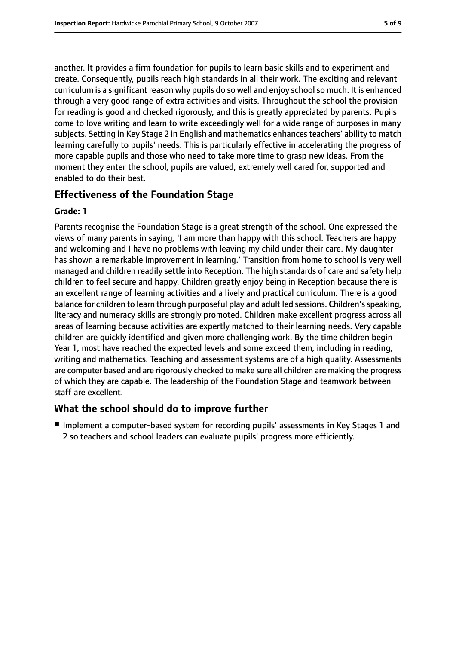another. It provides a firm foundation for pupils to learn basic skills and to experiment and create. Consequently, pupils reach high standards in all their work. The exciting and relevant curriculum is a significant reason why pupils do so well and enjoy schoolso much. It is enhanced through a very good range of extra activities and visits. Throughout the school the provision for reading is good and checked rigorously, and this is greatly appreciated by parents. Pupils come to love writing and learn to write exceedingly well for a wide range of purposes in many subjects. Setting in Key Stage 2 in English and mathematics enhances teachers' ability to match learning carefully to pupils' needs. This is particularly effective in accelerating the progress of more capable pupils and those who need to take more time to grasp new ideas. From the moment they enter the school, pupils are valued, extremely well cared for, supported and enabled to do their best.

### **Effectiveness of the Foundation Stage**

### **Grade: 1**

Parents recognise the Foundation Stage is a great strength of the school. One expressed the views of many parents in saying, 'I am more than happy with this school. Teachers are happy and welcoming and I have no problems with leaving my child under their care. My daughter has shown a remarkable improvement in learning.' Transition from home to school is very well managed and children readily settle into Reception. The high standards of care and safety help children to feel secure and happy. Children greatly enjoy being in Reception because there is an excellent range of learning activities and a lively and practical curriculum. There is a good balance for children to learn through purposeful play and adult led sessions. Children's speaking, literacy and numeracy skills are strongly promoted. Children make excellent progress across all areas of learning because activities are expertly matched to their learning needs. Very capable children are quickly identified and given more challenging work. By the time children begin Year 1, most have reached the expected levels and some exceed them, including in reading, writing and mathematics. Teaching and assessment systems are of a high quality. Assessments are computer based and are rigorously checked to make sure all children are making the progress of which they are capable. The leadership of the Foundation Stage and teamwork between staff are excellent.

### **What the school should do to improve further**

■ Implement a computer-based system for recording pupils' assessments in Key Stages 1 and 2 so teachers and school leaders can evaluate pupils' progress more efficiently.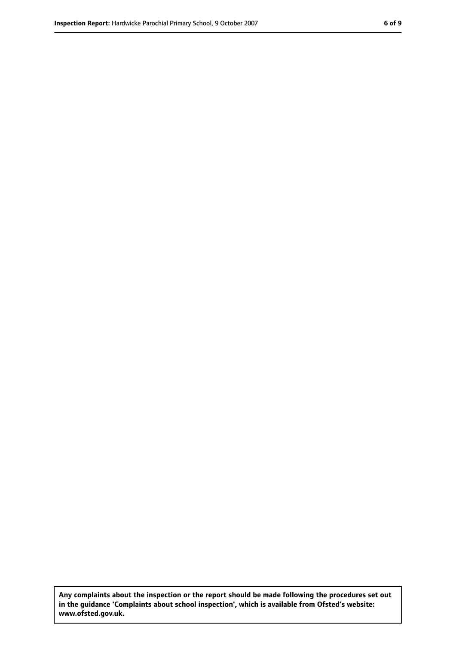**Any complaints about the inspection or the report should be made following the procedures set out in the guidance 'Complaints about school inspection', which is available from Ofsted's website: www.ofsted.gov.uk.**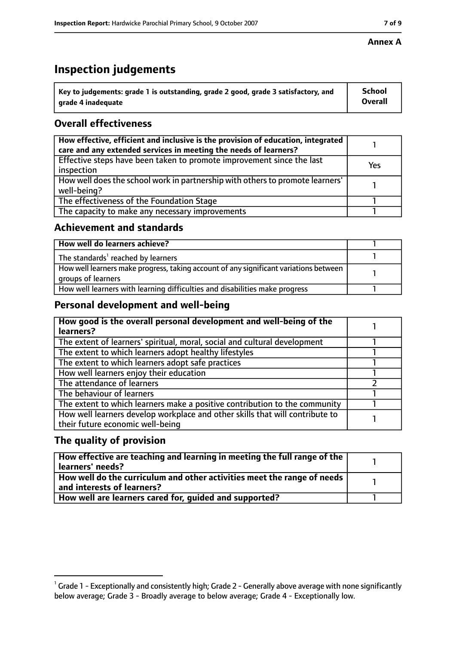# **Inspection judgements**

| $^{\backprime}$ Key to judgements: grade 1 is outstanding, grade 2 good, grade 3 satisfactory, and | <b>School</b>  |
|----------------------------------------------------------------------------------------------------|----------------|
| arade 4 inadequate                                                                                 | <b>Overall</b> |

### **Overall effectiveness**

| How effective, efficient and inclusive is the provision of education, integrated<br>care and any extended services in meeting the needs of learners? |     |
|------------------------------------------------------------------------------------------------------------------------------------------------------|-----|
| Effective steps have been taken to promote improvement since the last<br>inspection                                                                  | Yes |
| How well does the school work in partnership with others to promote learners'<br>well-being?                                                         |     |
| The effectiveness of the Foundation Stage                                                                                                            |     |
| The capacity to make any necessary improvements                                                                                                      |     |

### **Achievement and standards**

| How well do learners achieve?                                                                               |  |
|-------------------------------------------------------------------------------------------------------------|--|
| The standards <sup>1</sup> reached by learners                                                              |  |
| How well learners make progress, taking account of any significant variations between<br>groups of learners |  |
| How well learners with learning difficulties and disabilities make progress                                 |  |

### **Personal development and well-being**

| How good is the overall personal development and well-being of the<br>learners?                                  |  |
|------------------------------------------------------------------------------------------------------------------|--|
| The extent of learners' spiritual, moral, social and cultural development                                        |  |
| The extent to which learners adopt healthy lifestyles                                                            |  |
| The extent to which learners adopt safe practices                                                                |  |
| How well learners enjoy their education                                                                          |  |
| The attendance of learners                                                                                       |  |
| The behaviour of learners                                                                                        |  |
| The extent to which learners make a positive contribution to the community                                       |  |
| How well learners develop workplace and other skills that will contribute to<br>their future economic well-being |  |

### **The quality of provision**

| How effective are teaching and learning in meeting the full range of the<br>learners' needs?          |  |
|-------------------------------------------------------------------------------------------------------|--|
| How well do the curriculum and other activities meet the range of needs<br>and interests of learners? |  |
| How well are learners cared for, quided and supported?                                                |  |

 $^1$  Grade 1 - Exceptionally and consistently high; Grade 2 - Generally above average with none significantly below average; Grade 3 - Broadly average to below average; Grade 4 - Exceptionally low.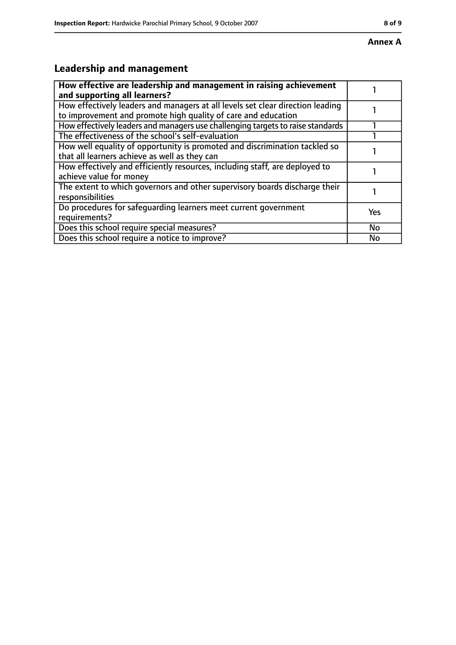# **Leadership and management**

| How effective are leadership and management in raising achievement<br>and supporting all learners?                                              |     |
|-------------------------------------------------------------------------------------------------------------------------------------------------|-----|
| How effectively leaders and managers at all levels set clear direction leading<br>to improvement and promote high quality of care and education |     |
| How effectively leaders and managers use challenging targets to raise standards                                                                 |     |
| The effectiveness of the school's self-evaluation                                                                                               |     |
| How well equality of opportunity is promoted and discrimination tackled so<br>that all learners achieve as well as they can                     |     |
| How effectively and efficiently resources, including staff, are deployed to<br>achieve value for money                                          |     |
| The extent to which governors and other supervisory boards discharge their<br>responsibilities                                                  |     |
| Do procedures for safeguarding learners meet current government<br>requirements?                                                                | Yes |
| Does this school require special measures?                                                                                                      | No  |
| Does this school require a notice to improve?                                                                                                   | No  |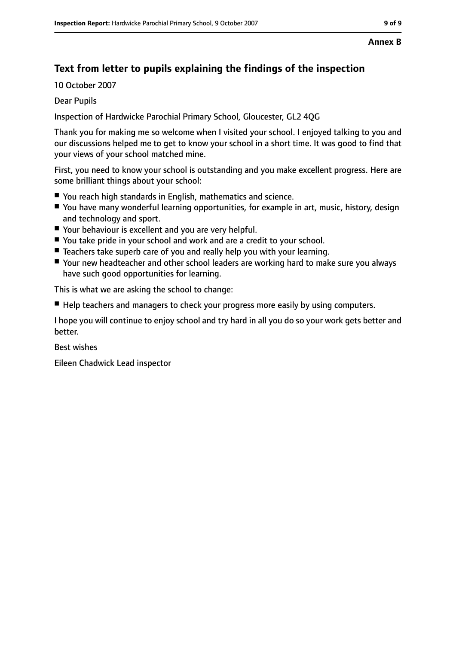### **Text from letter to pupils explaining the findings of the inspection**

10 October 2007

### Dear Pupils

Inspection of Hardwicke Parochial Primary School, Gloucester, GL2 4QG

Thank you for making me so welcome when I visited your school. I enjoyed talking to you and our discussions helped me to get to know your school in a short time. It was good to find that your views of your school matched mine.

First, you need to know your school is outstanding and you make excellent progress. Here are some brilliant things about your school:

- You reach high standards in English, mathematics and science.
- You have many wonderful learning opportunities, for example in art, music, history, design and technology and sport.
- Your behaviour is excellent and you are very helpful.
- You take pride in your school and work and are a credit to your school.
- Teachers take superb care of you and really help you with your learning.
- Your new headteacher and other school leaders are working hard to make sure you always have such good opportunities for learning.

This is what we are asking the school to change:

■ Help teachers and managers to check your progress more easily by using computers.

I hope you will continue to enjoy school and try hard in all you do so your work gets better and better.

Best wishes

Eileen Chadwick Lead inspector